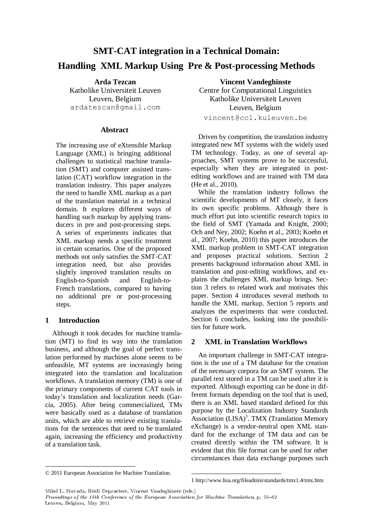# **SMT-CAT integration in a Technical Domain: Handling XML Markup Using Pre & Post-processing Methods**

**Arda Tezcan** Katholike Universiteit Leuven Leuven, Belgium ardatezcan@gmail.com

#### **Abstract**

The increasing use of eXtensible Markup Language (XML) is bringing additional challenges to statistical machine translation (SMT) and computer assisted translation (CAT) workflow integration in the translation industry. This paper analyzes the need to handle XML markup as a part of the translation material in a technical domain. It explores different ways of handling such markup by applying transducers in pre and post-processing steps. A series of experiments indicates that XML markup needs a specific treatment in certain scenarios. One of the proposed methods not only satisfies the SMT-CAT integration need, but also provides slightly improved translation results on English-to-Spanish and English-to-French translations, compared to having no additional pre or post-processing steps.

# **1 Introduction**

Although it took decades for machine translation (MT) to find its way into the translation business, and although the goal of perfect translation performed by machines alone seems to be unfeasible, MT systems are increasingly being integrated into the translation and localization workflows. A translation memory (TM) is one of the primary components of current CAT tools in today's translation and localization needs (Garcia, 2005). After being commercialized, TMs were basically used as a database of translation units, which are able to retrieve existing translations for the sentences that need to be translated again, increasing the efficiency and productivity of a translation task.

**Vincent Vandeghinste** Centre for Computational Linguistics Katholike Universiteit Leuven Leuven, Belgium vincent@ccl.kuleuven.be

Driven by competition, the translation industry integrated new MT systems with the widely used TM technology. Today, as one of several approaches, SMT systems prove to be successful, especially when they are integrated in postediting workflows and are trained with TM data (He et al., 2010).

While the translation industry follows the scientific developments of MT closely, it faces its own specific problems. Although there is much effort put into scientific research topics in the field of SMT (Yamada and Knight, 2000; Och and Ney, 2002; Koehn et al., 2003; Koehn et al., 2007; Koehn, 2010) this paper introduces the XML markup problem in SMT-CAT integration and proposes practical solutions. Section 2 presents background information about XML in translation and post-editing workflows, and explains the challenges XML markup brings. Section 3 refers to related work and motivates this paper. Section 4 introduces several methods to handle the XML markup. Section 5 reports and analyzes the experiments that were conducted. Section 6 concludes, looking into the possibilities for future work.

# **2 XML in Translation Workflows**

An important challenge in SMT-CAT integration is the use of a TM database for the creation of the necessary corpora for an SMT system. The parallel text stored in a TM can be used after it is exported. Although exporting can be done in different formats depending on the tool that is used, there is an XML based standard defined for this purpose by the Localization Industry Standards Association (LISA)<sup>1</sup>. TMX (Translation Memory eXchange) is a vendor-neutral open XML standard for the exchange of TM data and can be created directly within the TM software. It is evident that this file format can be used for other circumstances than data exchange purposes such

Mikel L. Forcada, Heidi Depraetere, Vincent Vandeghinste (eds.)

Proceedings of the 15th Conference of the European Association for Machine Translation, p. 55-62 Leuven, Belgium, May 2011

<sup>©</sup> 2011 European Association for Machine Translation.

<sup>1</sup> http://www.lisa.org/fileadmin/standards/tmx1.4/tmx.htm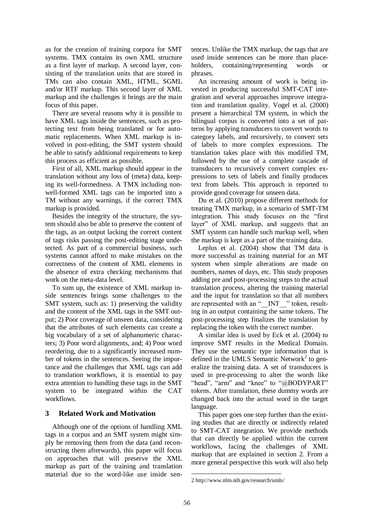as for the creation of training corpora for SMT systems. TMX contains its own XML structure as a first layer of markup. A second layer, consisting of the translation units that are stored in TMs can also contain XML, HTML, SGML and/or RTF markup. This second layer of XML markup and the challenges it brings are the main focus of this paper.

There are several reasons why it is possible to have XML tags inside the sentences, such as protecting text from being translated or for automatic replacements. When XML markup is involved in post-editing, the SMT system should be able to satisfy additional requirements to keep this process as efficient as possible.

First of all, XML markup should appear in the translation without any loss of (meta) data, keeping its well-formedness. A TMX including nonwell-formed XML tags can be imported into a TM without any warnings, if the correct TMX markup is provided.

Besides the integrity of the structure, the system should also be able to preserve the content of the tags, as an output lacking the correct content of tags risks passing the post-editing stage undetected. As part of a commercial business, such systems cannot afford to make mistakes on the correctness of the content of XML elements in the absence of extra checking mechanisms that work on the meta-data level.

To sum up, the existence of XML markup inside sentences brings some challenges to the SMT system, such as: 1) preserving the validity and the content of the XML tags in the SMT output; 2) Poor coverage of unseen data, considering that the attributes of such elements can create a big vocabulary of a set of alphanumeric characters; 3) Poor word alignments, and; 4) Poor word reordering, due to a significantly increased number of tokens in the sentences. Seeing the importance and the challenges that XML tags can add to translation workflows, it is essential to pay extra attention to handling these tags in the SMT system to be integrated within the CAT workflows.

# **3 Related Work and Motivation**

Although one of the options of handling XML tags in a corpus and an SMT system might simply be removing them from the data (and reconstructing them afterwards), this paper will focus on approaches that will preserve the XML markup as part of the training and translation material due to the word-like use inside sentences. Unlike the TMX markup, the tags that are used inside sentences can be more than placeholders, containing/representing words or phrases.

An increasing amount of work is being invested in producing successful SMT-CAT integration and several approaches improve integration and translation quality. Vogel et al. (2000) present a hierarchical TM system, in which the bilingual corpus is converted into a set of patterns by applying transducers to convert words to category labels, and recursively, to convert sets of labels to more complex expressions. The translation takes place with this modified TM, followed by the use of a complete cascade of transducers to recursively convert complex expressions to sets of labels and finally produces text from labels. This approach is reported to provide good coverage for unseen data.

Du et al. (2010) propose different methods for treating TMX markup, in a scenario of SMT-TM integration. This study focuses on the "first" layer" of XML markup, and suggests that an SMT system can handle such markup well, when the markup is kept as a part of the training data.

Leplus et al. (2004) show that TM data is more successful as training material for an MT system when simple alterations are made on numbers, names of days, etc. This study proposes adding pre and post-processing steps to the actual translation process, altering the training material and the input for translation so that all numbers are represented with an " INT " token, resulting in an output containing the same tokens. The post-processing step finalizes the translation by replacing the token with the correct number.

A similar idea is used by Eck et al. (2004) to improve SMT results in the Medical Domain. They use the semantic type information that is defined in the UMLS Semantic Network<sup>2</sup> to generalize the training data. A set of transducers is used in pre-processing to alter the words like "head", "arm" and "knee" to " $@BODYPART"$ tokens. After translation, these dummy words are changed back into the actual word in the target language.

This paper goes one step further than the existing studies that are directly or indirectly related to SMT-CAT integration. We provide methods that can directly be applied within the current workflows, facing the challenges of XML markup that are explained in section 2. From a more general perspective this work will also help

<sup>2</sup> http://www.nlm.nih.gov/research/umls/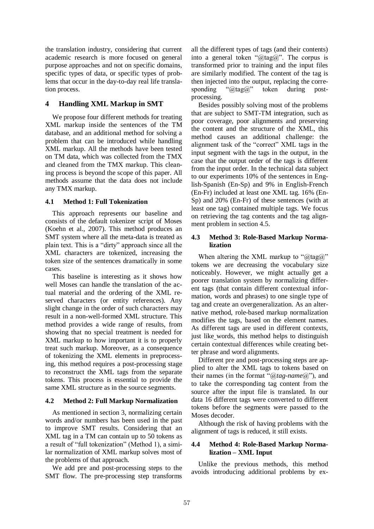the translation industry, considering that current academic research is more focused on general purpose approaches and not on specific domains, specific types of data, or specific types of problems that occur in the day-to-day real life translation process.

# **4 Handling XML Markup in SMT**

We propose four different methods for treating XML markup inside the sentences of the TM database, and an additional method for solving a problem that can be introduced while handling XML markup. All the methods have been tested on TM data, which was collected from the TMX and cleaned from the TMX markup. This cleaning process is beyond the scope of this paper. All methods assume that the data does not include any TMX markup.

#### **4.1 Method 1: Full Tokenization**

This approach represents our baseline and consists of the default tokenizer script of Moses (Koehn et al., 2007). This method produces an SMT system where all the meta-data is treated as plain text. This is a "dirty" approach since all the XML characters are tokenized, increasing the token size of the sentences dramatically in some cases.

This baseline is interesting as it shows how well Moses can handle the translation of the actual material and the ordering of the XML reserved characters (or entity references). Any slight change in the order of such characters may result in a non-well-formed XML structure. This method provides a wide range of results, from showing that no special treatment is needed for XML markup to how important it is to properly treat such markup. Moreover, as a consequence of tokenizing the XML elements in preprocessing, this method requires a post-processing stage to reconstruct the XML tags from the separate tokens. This process is essential to provide the same XML structure as in the source segments.

# **4.2 Method 2: Full Markup Normalization**

As mentioned in section 3, normalizing certain words and/or numbers has been used in the past to improve SMT results. Considering that an XML tag in a TM can contain up to 50 tokens as a result of "full tokenization" (Method 1), a similar normalization of XML markup solves most of the problems of that approach.

We add pre and post-processing steps to the SMT flow. The pre-processing step transforms all the different types of tags (and their contents) into a general token " $\widehat{\omega}$ tag $\widehat{\omega}$ ". The corpus is transformed prior to training and the input files are similarly modified. The content of the tag is then injected into the output, replacing the corresponding " $\partial_{\alpha}$ tag $\partial_{\alpha}$ " token during postprocessing.

Besides possibly solving most of the problems that are subject to SMT-TM integration, such as poor coverage, poor alignments and preserving the content and the structure of the XML, this method causes an additional challenge: the alignment task of the "correct" XML tags in the input segment with the tags in the output, in the case that the output order of the tags is different from the input order. In the technical data subject to our experiments 10% of the sentences in English-Spanish (En-Sp) and 9% in English-French (En-Fr) included at least one XML tag. 16% (En-Sp) and 20% (En-Fr) of these sentences (with at least one tag) contained multiple tags. We focus on retrieving the tag contents and the tag alignment problem in section 4.5.

#### **4.3 Method 3: Role-Based Markup Normalization**

When altering the XML markup to " $\hat{a}$ tag $\hat{a}$ " tokens we are decreasing the vocabulary size noticeably. However, we might actually get a poorer translation system by normalizing different tags (that contain different contextual information, words and phrases) to one single type of tag and create an overgeneralization. As an alternative method, role-based markup normalization modifies the tags, based on the element names. As different tags are used in different contexts, just like words, this method helps to distinguish certain contextual differences while creating better phrase and word alignments.

Different pre and post-processing steps are applied to alter the XML tags to tokens based on their names (in the format " $(\partial_{\mu} \text{tan} \theta(\partial_{\mu}))$ , and to take the corresponding tag content from the source after the input file is translated. In our data 16 different tags were converted to different tokens before the segments were passed to the Moses decoder.

Although the risk of having problems with the alignment of tags is reduced, it still exists.

# **4.4 Method 4: Role-Based Markup Normalization ± XML Input**

Unlike the previous methods, this method avoids introducing additional problems by ex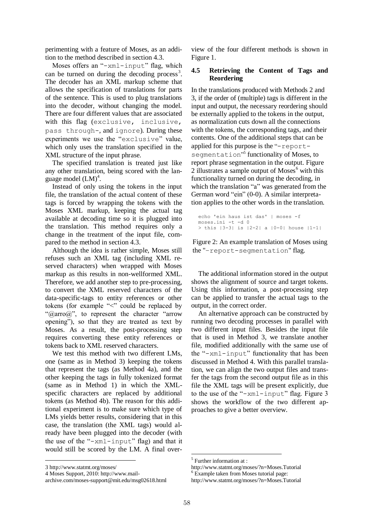perimenting with a feature of Moses, as an addition to the method described in section 4.3.

Moses offers an " $-xm1$ -input" flag, which can be turned on during the decoding process<sup>3</sup>. The decoder has an XML markup scheme that allows the specification of translations for parts of the sentence. This is used to plug translations into the decoder, without changing the model. There are four different values that are associated with this flag (exclusive, inclusive, pass through-, and ignore). During these experiments we use the "exclusive" value, which only uses the translation specified in the XML structure of the input phrase.

The specified translation is treated just like any other translation, being scored with the language model  $(LM)^4$ .

Instead of only using the tokens in the input file, the translation of the actual content of these tags is forced by wrapping the tokens with the Moses XML markup, keeping the actual tag available at decoding time so it is plugged into the translation. This method requires only a change in the treatment of the input file, compared to the method in section 4.3.

Although the idea is rather simple, Moses still refuses such an XML tag (including XML reserved characters) when wrapped with Moses markup as this results in non-wellformed XML. Therefore, we add another step to pre-processing, to convert the XML reserved characters of the data-specific-tags to entity references or other tokens (for example " $\leq$ " could be replaced by " $@arrow@$ ", to represent the character "arrow opening"), so that they are treated as text by Moses. As a result, the post-processing step requires converting these entity references or tokens back to XML reserved characters.

We test this method with two different LMs, one (same as in Method 3) keeping the tokens that represent the tags (as Method 4a), and the other keeping the tags in fully tokenized format (same as in Method 1) in which the XMLspecific characters are replaced by additional tokens (as Method 4b). The reason for this additional experiment is to make sure which type of LMs yields better results, considering that in this case, the translation (the XML tags) would already have been plugged into the decoder (with the use of the " $-xm1$ -input" flag) and that it would still be scored by the LM. A final over-

view of the four different methods is shown in Figure 1.

# **4.5 Retrieving the Content of Tags and Reordering**

In the translations produced with Methods 2 and 3, if the order of (multiple) tags is different in the input and output, the necessary reordering should be externally applied to the tokens in the output, as normalization cuts down all the connections with the tokens, the corresponding tags, and their contents. One of the additional steps that can be applied for this purpose is the " $-report$ segmentation"<sup>5</sup> functionality of Moses, to report phrase segmentation in the output. Figure 2 illustrates a sample output of Moses<sup>6</sup> with this functionality turned on during the decoding, in which the translation "a" was generated from the German word "ein" (0-0). A similar interpretation applies to the other words in the translation.

```
> this |3-3| is |2-2| a |0-0| house |1-1|echo 'ein haus ist das' | moses -f 
moses.ini -t -d 0
```
Figure 2: An example translation of Moses using the "-report-segmentation" flag.

The additional information stored in the output shows the alignment of source and target tokens. Using this information, a post-processing step can be applied to transfer the actual tags to the output, in the correct order.

An alternative approach can be constructed by running two decoding processes in parallel with two different input files. Besides the input file that is used in Method 3, we translate another file, modified additionally with the same use of the " $-xm1$ -input" functionality that has been discussed in Method 4. With this parallel translation, we can align the two output files and transfer the tags from the second output file as in this file the XML tags will be present explicitly, due to the use of the " $-xm1$ -input" flag. Figure 3 shows the workflow of the two different approaches to give a better overview.

<sup>3</sup> http://www.statmt.org/moses/

<sup>4</sup> Moses Support, 2010: http://www.mail-

archive.com/moses-support@mit.edu/msg02618.html

<sup>5</sup> Further information at :

http://www.statmt.org/moses/?n=Moses.Tutorial <sup>6</sup> Example taken from Moses tutorial page:

http://www.statmt.org/moses/?n=Moses.Tutorial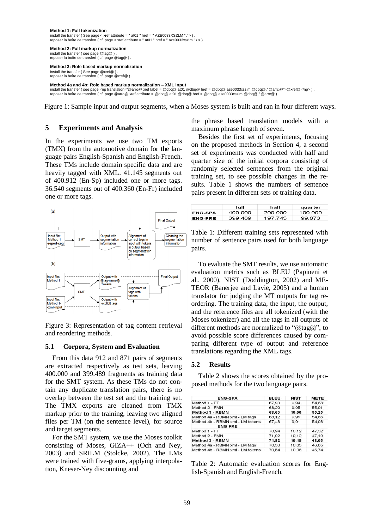#### **Method 1: Full tokenization** install the transfer ( See page < xref attribute = " at01 " href = " AZE0033XSZLM " / > ) .

reposer la boîte de transfert ( cf. page < xref attribute =  $"$  at01  $"$  href =  $"$  aze0033xszlm  $"$  / > )

**Method 2: Full markup normalization** install the transfer ( see page @tag@ ) . reposer la boîte de transfert ( cf. page @tag@ ) .

#### **Method 3: Role based markup normalization**

install the transfer ( See page @xref@ ) . reposer la boîte de transfert ( cf. page @xref@ ) .

**Method 4a and 4b: Role based markup normalization ± XML input** install the transfer ( see page <np translation="@arro@ xref label = @dbq@ at01 @dbq@ href = @dbq@ aze0033xszlm @dbq@ / @arrc @">@xref@</np> ) .<br>reposer la boîte de transfert ( cf. page @arro@ xref attribute = @dbq@ at01

Figure 1: Sample input and output segments, when a Moses system is built and ran in four different ways.

### **5 Experiments and Analysis**

In the experiments we use two TM exports (TMX) from the automotive domain for the language pairs English-Spanish and English-French. These TMs include domain specific data and are heavily tagged with XML. 41.145 segments out of 400.912 (En-Sp) included one or more tags. 36.540 segments out of 400.360 (En-Fr) included one or more tags.



Figure 3: Representation of tag content retrieval and reordering methods.

#### **5.1 Corpora, System and Evaluation**

From this data 912 and 871 pairs of segments are extracted respectively as test sets, leaving 400.000 and 399.489 fragments as training data for the SMT system. As these TMs do not contain any duplicate translation pairs, there is no overlap between the test set and the training set. The TMX exports are cleaned from TMX markup prior to the training, leaving two aligned files per TM (on the sentence level), for source and target segments.

For the SMT system, we use the Moses toolkit consisting of Moses, GIZA++ (Och and Ney, 2003) and SRILM (Stolcke, 2002). The LMs were trained with five-grams, applying interpolation, Kneser-Ney discounting and

the phrase based translation models with a maximum phrase length of seven.

Besides the first set of experiments, focusing on the proposed methods in Section 4, a second set of experiments was conducted with half and quarter size of the initial corpora consisting of randomly selected sentences from the original training set, to see possible changes in the results. Table 1 shows the numbers of sentence pairs present in different sets of training data.

|                | full    | half    | quarter |
|----------------|---------|---------|---------|
| <b>ENG-SPA</b> | 400.000 | 200.000 | 100.000 |
| <b>ENG-FRE</b> | 399 489 | 197 745 | 99873   |

| Table 1: Different training sets represented with |  |
|---------------------------------------------------|--|
| number of sentence pairs used for both language   |  |
| pairs.                                            |  |

To evaluate the SMT results, we use automatic evaluation metrics such as BLEU (Papineni et al., 2000), NIST (Doddington, 2002) and ME-TEOR (Banerjee and Lavie, 2005) and a human translator for judging the MT outputs for tag reordering. The training data, the input, the output, and the reference files are all tokenized (with the Moses tokenizer) and all the tags in all outputs of different methods are normalized to " $\hat{\omega}$ tag $\hat{\omega}$ ", to avoid possible score differences caused by comparing different type of output and reference translations regarding the XML tags.

#### **5.2 Results**

Table 2 shows the scores obtained by the proposed methods for the two language pairs.

| <b>ENG-SPA</b>                   | <b>BLEU</b> | <b>NIST</b> | <b>METE</b> |
|----------------------------------|-------------|-------------|-------------|
| Method 1 - FT                    | 67,93       | 9.94        | 54.68       |
| Method 2 - FMN                   | 68,20       | 9.95        | 55.01       |
| Method 3 - RBMN                  | 68,63       | 10.00       | 55,25       |
| Method 4a - RBMN xml - LM tags   | 68.12       | 9.95        | 54.66       |
| Method 4b - RBMN xml - LM tokens | 67,48       | 9.91        | 54.08       |
| <b>ENG-FRE</b>                   |             |             |             |
| Method 1 - FT                    | 70.94       | 10.12       | 47.32       |
| Method 2 - FMN                   | 71.02       | 10.12       | 47.19       |
| <b>Method 3 - RBMN</b>           | 71.82       | 10.19       | 48.05       |
| Method 4a - RBMN xml - LM tags   | 70,50       | 10.05       | 46.65       |
| Method 4b - RBMN xml - LM tokens | 70.54       | 10.06       | 46.74       |

Table 2: Automatic evaluation scores for English-Spanish and English-French.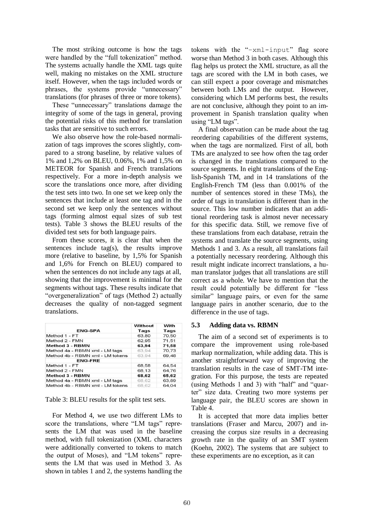The most striking outcome is how the tags were handled by the "full tokenization" method. The systems actually handle the XML tags quite well, making no mistakes on the XML structure itself. However, when the tags included words or phrases, the systems provide "unnecessary" translations (for phrases of three or more tokens).

These "unnecessary" translations damage the integrity of some of the tags in general, proving the potential risks of this method for translation tasks that are sensitive to such errors.

We also observe how the role-based normalization of tags improves the scores slightly, compared to a strong baseline, by relative values of 1% and 1,2% on BLEU, 0.06%, 1% and 1,5% on METEOR for Spanish and French translations respectively. For a more in-depth analysis we score the translations once more, after dividing the test sets into two. In one set we keep only the sentences that include at least one tag and in the second set we keep only the sentences without tags (forming almost equal sizes of sub test tests). Table 3 shows the BLEU results of the divided test sets for both language pairs.

From these scores, it is clear that when the sentences include tag(s), the results improve more (relative to baseline, by 1,5% for Spanish and 1,6% for French on BLEU) compared to when the sentences do not include any tags at all, showing that the improvement is minimal for the segments without tags. These results indicate that "overgeneralization" of tags (Method 2) actually decreases the quality of non-tagged segment translations.

| <b>ENG-SPA</b>                   | Without<br>Tags | With<br>Tags |
|----------------------------------|-----------------|--------------|
| Method 1 - FT                    | 63,80           | 70,50        |
| Method 2 - FMN                   | 62.95           | 71.51        |
| Method 3 - RBMN                  | 63.94           | 71.58        |
| Method 4a - RBMN xml - LM tags   | 63.94           | 70,73        |
| Method 4b - RBMN xml - LM tokens | 63.94           | 69,48        |
| <b>ENG-FRE</b>                   |                 |              |
| Method 1 - FT                    | 68,58           | 64,54        |
| Method 2 - FMN                   | 68.13           | 64.76        |
| Method 3 - RBMN                  | 68.62           | 65,62        |
| Method 4a - RBMN xml - LM tags   | 68.62           | 63,89        |
| Method 4b - RBMN xml - LM tokens | 68.62           | 64.04        |

Table 3: BLEU results for the split test sets.

For Method 4, we use two different LMs to score the translations, where "LM tags" represents the LM that was used in the baseline method, with full tokenization (XML characters were additionally converted to tokens to match the output of Moses), and "LM tokens" represents the LM that was used in Method 3. As shown in tables 1 and 2, the systems handling the tokens with the " $-xm1$ -input" flag score worse than Method 3 in both cases. Although this flag helps us protect the XML structure, as all the tags are scored with the LM in both cases, we can still expect a poor coverage and mismatches between both LMs and the output. However, considering which LM performs best, the results are not conclusive, although they point to an improvement in Spanish translation quality when using "LM tags".

A final observation can be made about the tag reordering capabilities of the different systems, when the tags are normalized. First of all, both TMs are analyzed to see how often the tag order is changed in the translations compared to the source segments. In eight translations of the English-Spanish TM, and in 14 translations of the English-French TM (less than 0.001% of the number of sentences stored in these TMs), the order of tags in translation is different than in the source. This low number indicates that an additional reordering task is almost never necessary for this specific data. Still, we remove five of these translations from each database, retrain the systems and translate the source segments, using Methods 1 and 3. As a result, all translations fail a potentially necessary reordering. Although this result might indicate incorrect translations, a human translator judges that all translations are still correct as a whole. We have to mention that the result could potentially be different for "less similar" language pairs, or even for the same language pairs in another scenario, due to the difference in the use of tags.

#### **5.3 Adding data vs. RBMN**

The aim of a second set of experiments is to compare the improvement using role-based markup normalization, while adding data. This is another straightforward way of improving the translation results in the case of SMT-TM integration. For this purpose, the tests are repeated (using Methods 1 and 3) with "half" and "quarter" size data. Creating two more systems per language pair, the BLEU scores are shown in Table 4.

It is accepted that more data implies better translations (Fraser and Marcu, 2007) and increasing the corpus size results in a decreasing growth rate in the quality of an SMT system (Koehn, 2002). The systems that are subject to these experiments are no exception, as it can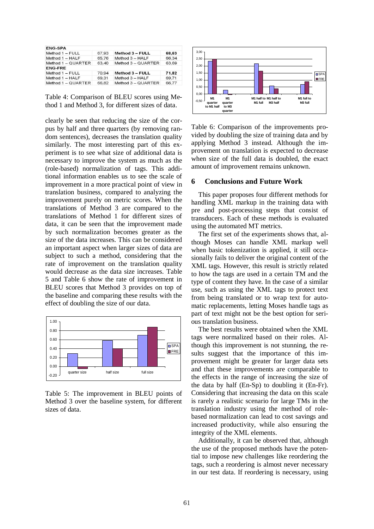| <b>ENG-SPA</b>       |       |                          |       |
|----------------------|-------|--------------------------|-------|
| Method 1 - FULL      | 67.93 | Method 3 - FULL<br>68.63 |       |
| Method 1 - HALF      | 65.76 | Method 3 - HALF          | 66.34 |
| Method $1 - QUARTER$ | 63.40 | Method 3 - QUARTER       | 63.69 |
| <b>ENG-FRE</b>       |       |                          |       |
| Method 1 - FULL      | 70.94 | Method 3 - FULL          | 71.82 |
| Method 1 - HALF      | 69.31 | 69.71<br>Method 3 - HALF |       |
| Method 1 - QUARTER   | 66.82 | Method 3 - QUARTER       | 66.77 |

Table 4: Comparison of BLEU scores using Method 1 and Method 3, for different sizes of data.

clearly be seen that reducing the size of the corpus by half and three quarters (by removing random sentences), decreases the translation quality similarly. The most interesting part of this experiment is to see what size of additional data is necessary to improve the system as much as the (role-based) normalization of tags. This additional information enables us to see the scale of improvement in a more practical point of view in translation business, compared to analyzing the improvement purely on metric scores. When the translations of Method 3 are compared to the translations of Method 1 for different sizes of data, it can be seen that the improvement made by such normalization becomes greater as the size of the data increases. This can be considered an important aspect when larger sizes of data are subject to such a method, considering that the rate of improvement on the translation quality would decrease as the data size increases. Table 5 and Table 6 show the rate of improvement in BLEU scores that Method 3 provides on top of the baseline and comparing these results with the effect of doubling the size of our data.



Table 5: The improvement in BLEU points of Method 3 over the baseline system, for different sizes of data.



Table 6: Comparison of the improvements provided by doubling the size of training data and by applying Method 3 instead. Although the improvement on translation is expected to decrease when size of the full data is doubled, the exact amount of improvement remains unknown.

#### **6 Conclusions and Future Work**

This paper proposes four different methods for handling XML markup in the training data with pre and post-processing steps that consist of transducers. Each of these methods is evaluated using the automated MT metrics.

The first set of the experiments shows that, although Moses can handle XML markup well when basic tokenization is applied, it still occasionally fails to deliver the original content of the XML tags. However, this result is strictly related to how the tags are used in a certain TM and the type of content they have. In the case of a similar use, such as using the XML tags to protect text from being translated or to wrap text for automatic replacements, letting Moses handle tags as part of text might not be the best option for serious translation business.

The best results were obtained when the XML tags were normalized based on their roles. Although this improvement is not stunning, the results suggest that the importance of this improvement might be greater for larger data sets and that these improvements are comparable to the effects in the range of increasing the size of the data by half (En-Sp) to doubling it (En-Fr). Considering that increasing the data on this scale is rarely a realistic scenario for large TMs in the translation industry using the method of rolebased normalization can lead to cost savings and increased productivity, while also ensuring the integrity of the XML elements.

Additionally, it can be observed that, although the use of the proposed methods have the potential to impose new challenges like reordering the tags, such a reordering is almost never necessary in our test data. If reordering is necessary, using